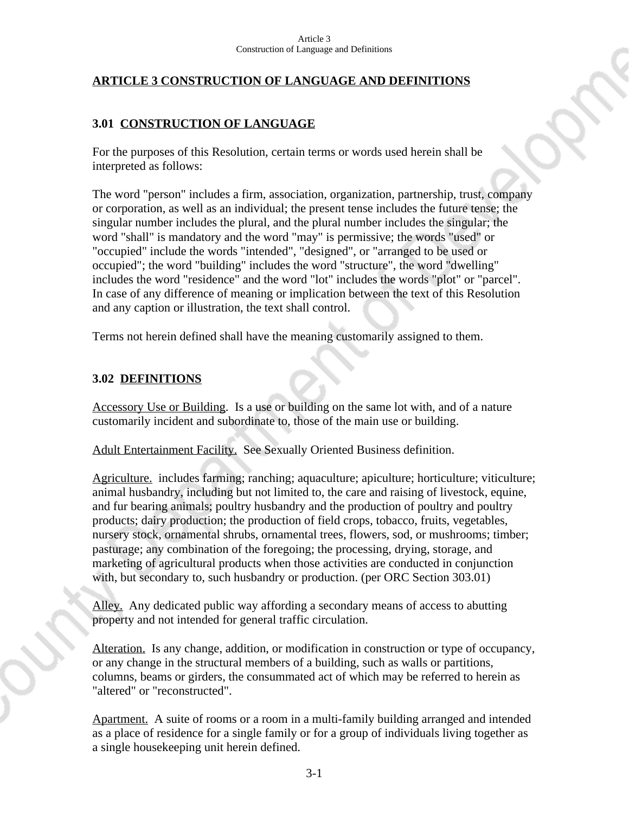# **ARTICLE 3 CONSTRUCTION OF LANGUAGE AND DEFINITIONS**

## **3.01 CONSTRUCTION OF LANGUAGE**

For the purposes of this Resolution, certain terms or words used herein shall be interpreted as follows:

The word "person" includes a firm, association, organization, partnership, trust, company or corporation, as well as an individual; the present tense includes the future tense; the singular number includes the plural, and the plural number includes the singular; the word "shall" is mandatory and the word "may" is permissive; the words "used" or "occupied" include the words "intended", "designed", or "arranged to be used or occupied"; the word "building" includes the word "structure", the word "dwelling" includes the word "residence" and the word "lot" includes the words "plot" or "parcel". In case of any difference of meaning or implication between the text of this Resolution and any caption or illustration, the text shall control.

Terms not herein defined shall have the meaning customarily assigned to them.

# **3.02 DEFINITIONS**

Accessory Use or Building. Is a use or building on the same lot with, and of a nature customarily incident and subordinate to, those of the main use or building.

Adult Entertainment Facility. See Sexually Oriented Business definition.

Agriculture. includes farming; ranching; aquaculture; apiculture; horticulture; viticulture; animal husbandry, including but not limited to, the care and raising of livestock, equine, and fur bearing animals; poultry husbandry and the production of poultry and poultry products; dairy production; the production of field crops, tobacco, fruits, vegetables, nursery stock, ornamental shrubs, ornamental trees, flowers, sod, or mushrooms; timber; pasturage; any combination of the foregoing; the processing, drying, storage, and marketing of agricultural products when those activities are conducted in conjunction with, but secondary to, such husbandry or production. (per ORC Section 303.01)

Alley. Any dedicated public way affording a secondary means of access to abutting property and not intended for general traffic circulation.

Alteration. Is any change, addition, or modification in construction or type of occupancy, or any change in the structural members of a building, such as walls or partitions, columns, beams or girders, the consummated act of which may be referred to herein as "altered" or "reconstructed".

Apartment. A suite of rooms or a room in a multi-family building arranged and intended as a place of residence for a single family or for a group of individuals living together as a single housekeeping unit herein defined.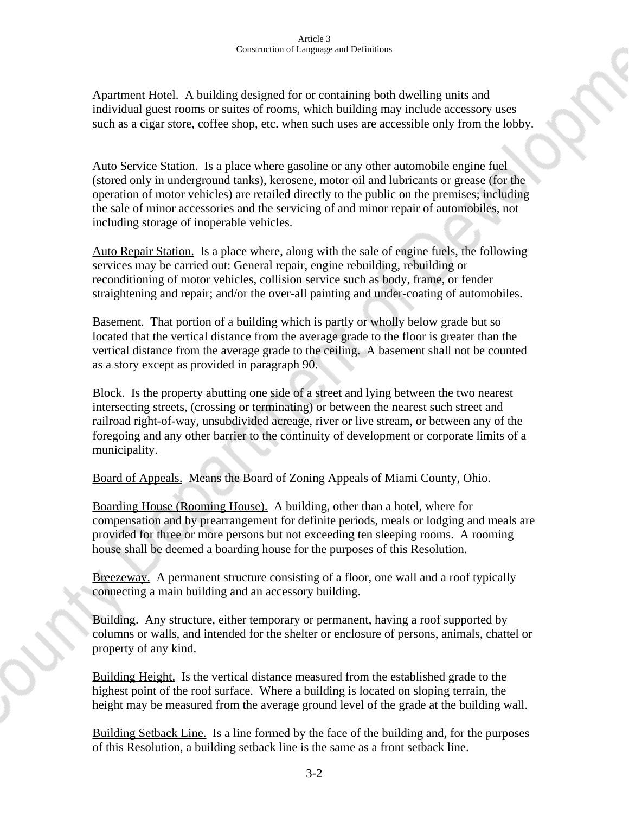Apartment Hotel. A building designed for or containing both dwelling units and individual guest rooms or suites of rooms, which building may include accessory uses such as a cigar store, coffee shop, etc. when such uses are accessible only from the lobby.

Auto Service Station. Is a place where gasoline or any other automobile engine fuel (stored only in underground tanks), kerosene, motor oil and lubricants or grease (for the operation of motor vehicles) are retailed directly to the public on the premises; including the sale of minor accessories and the servicing of and minor repair of automobiles, not including storage of inoperable vehicles.

Auto Repair Station. Is a place where, along with the sale of engine fuels, the following services may be carried out: General repair, engine rebuilding, rebuilding or reconditioning of motor vehicles, collision service such as body, frame, or fender straightening and repair; and/or the over-all painting and under-coating of automobiles.

**Basement.** That portion of a building which is partly or wholly below grade but so located that the vertical distance from the average grade to the floor is greater than the vertical distance from the average grade to the ceiling. A basement shall not be counted as a story except as provided in paragraph 90.

Block. Is the property abutting one side of a street and lying between the two nearest intersecting streets, (crossing or terminating) or between the nearest such street and railroad right-of-way, unsubdivided acreage, river or live stream, or between any of the foregoing and any other barrier to the continuity of development or corporate limits of a municipality.

Board of Appeals. Means the Board of Zoning Appeals of Miami County, Ohio.

Boarding House (Rooming House). A building, other than a hotel, where for compensation and by prearrangement for definite periods, meals or lodging and meals are provided for three or more persons but not exceeding ten sleeping rooms. A rooming house shall be deemed a boarding house for the purposes of this Resolution.

Breezeway. A permanent structure consisting of a floor, one wall and a roof typically connecting a main building and an accessory building.

Building. Any structure, either temporary or permanent, having a roof supported by columns or walls, and intended for the shelter or enclosure of persons, animals, chattel or property of any kind.

Building Height. Is the vertical distance measured from the established grade to the highest point of the roof surface. Where a building is located on sloping terrain, the height may be measured from the average ground level of the grade at the building wall.

Building Setback Line. Is a line formed by the face of the building and, for the purposes of this Resolution, a building setback line is the same as a front setback line.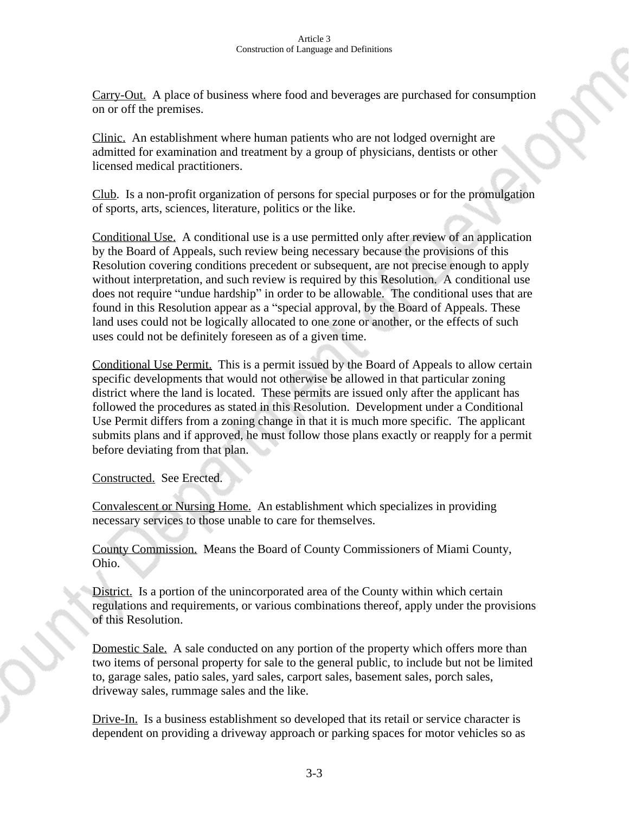Carry-Out. A place of business where food and beverages are purchased for consumption on or off the premises.

Clinic. An establishment where human patients who are not lodged overnight are admitted for examination and treatment by a group of physicians, dentists or other licensed medical practitioners.

Club. Is a non-profit organization of persons for special purposes or for the promulgation of sports, arts, sciences, literature, politics or the like.

Conditional Use. A conditional use is a use permitted only after review of an application by the Board of Appeals, such review being necessary because the provisions of this Resolution covering conditions precedent or subsequent, are not precise enough to apply without interpretation, and such review is required by this Resolution. A conditional use does not require "undue hardship" in order to be allowable. The conditional uses that are found in this Resolution appear as a "special approval, by the Board of Appeals. These land uses could not be logically allocated to one zone or another, or the effects of such uses could not be definitely foreseen as of a given time.

Conditional Use Permit. This is a permit issued by the Board of Appeals to allow certain specific developments that would not otherwise be allowed in that particular zoning district where the land is located. These permits are issued only after the applicant has followed the procedures as stated in this Resolution. Development under a Conditional Use Permit differs from a zoning change in that it is much more specific. The applicant submits plans and if approved, he must follow those plans exactly or reapply for a permit before deviating from that plan.

Constructed. See Erected.

Convalescent or Nursing Home. An establishment which specializes in providing necessary services to those unable to care for themselves.

County Commission. Means the Board of County Commissioners of Miami County, Ohio.

District. Is a portion of the unincorporated area of the County within which certain regulations and requirements, or various combinations thereof, apply under the provisions of this Resolution.

Domestic Sale. A sale conducted on any portion of the property which offers more than two items of personal property for sale to the general public, to include but not be limited to, garage sales, patio sales, yard sales, carport sales, basement sales, porch sales, driveway sales, rummage sales and the like.

Drive-In. Is a business establishment so developed that its retail or service character is dependent on providing a driveway approach or parking spaces for motor vehicles so as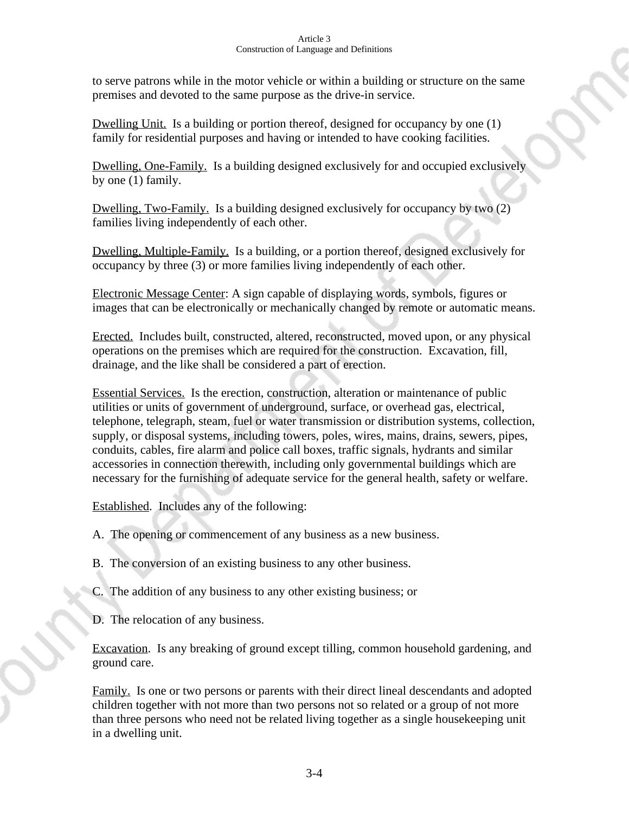to serve patrons while in the motor vehicle or within a building or structure on the same premises and devoted to the same purpose as the drive-in service.

Dwelling Unit. Is a building or portion thereof, designed for occupancy by one (1) family for residential purposes and having or intended to have cooking facilities.

Dwelling, One-Family. Is a building designed exclusively for and occupied exclusively by one (1) family.

Dwelling, Two-Family. Is a building designed exclusively for occupancy by two (2) families living independently of each other.

Dwelling, Multiple-Family. Is a building, or a portion thereof, designed exclusively for occupancy by three (3) or more families living independently of each other.

Electronic Message Center: A sign capable of displaying words, symbols, figures or images that can be electronically or mechanically changed by remote or automatic means.

Erected. Includes built, constructed, altered, reconstructed, moved upon, or any physical operations on the premises which are required for the construction. Excavation, fill, drainage, and the like shall be considered a part of erection.

Essential Services. Is the erection, construction, alteration or maintenance of public utilities or units of government of underground, surface, or overhead gas, electrical, telephone, telegraph, steam, fuel or water transmission or distribution systems, collection, supply, or disposal systems, including towers, poles, wires, mains, drains, sewers, pipes, conduits, cables, fire alarm and police call boxes, traffic signals, hydrants and similar accessories in connection therewith, including only governmental buildings which are necessary for the furnishing of adequate service for the general health, safety or welfare.

Established. Includes any of the following:

- A. The opening or commencement of any business as a new business.
- B. The conversion of an existing business to any other business.
- C. The addition of any business to any other existing business; or
- D. The relocation of any business.

Excavation. Is any breaking of ground except tilling, common household gardening, and ground care.

Family. Is one or two persons or parents with their direct lineal descendants and adopted children together with not more than two persons not so related or a group of not more than three persons who need not be related living together as a single housekeeping unit in a dwelling unit.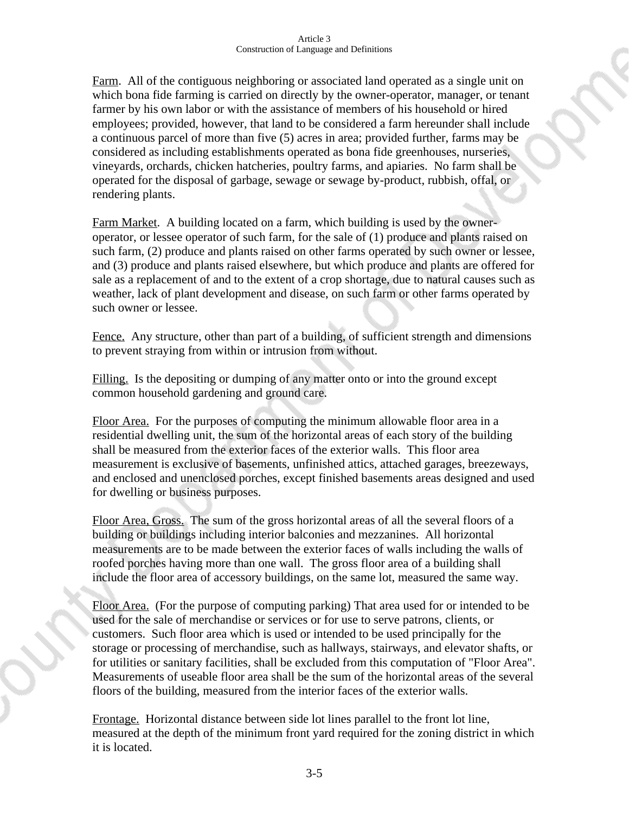Farm. All of the contiguous neighboring or associated land operated as a single unit on which bona fide farming is carried on directly by the owner-operator, manager, or tenant farmer by his own labor or with the assistance of members of his household or hired employees; provided, however, that land to be considered a farm hereunder shall include a continuous parcel of more than five (5) acres in area; provided further, farms may be considered as including establishments operated as bona fide greenhouses, nurseries, vineyards, orchards, chicken hatcheries, poultry farms, and apiaries. No farm shall be operated for the disposal of garbage, sewage or sewage by-product, rubbish, offal, or rendering plants.

Farm Market. A building located on a farm, which building is used by the owneroperator, or lessee operator of such farm, for the sale of (1) produce and plants raised on such farm, (2) produce and plants raised on other farms operated by such owner or lessee, and (3) produce and plants raised elsewhere, but which produce and plants are offered for sale as a replacement of and to the extent of a crop shortage, due to natural causes such as weather, lack of plant development and disease, on such farm or other farms operated by such owner or lessee.

Fence. Any structure, other than part of a building, of sufficient strength and dimensions to prevent straying from within or intrusion from without.

Filling. Is the depositing or dumping of any matter onto or into the ground except common household gardening and ground care.

Floor Area. For the purposes of computing the minimum allowable floor area in a residential dwelling unit, the sum of the horizontal areas of each story of the building shall be measured from the exterior faces of the exterior walls. This floor area measurement is exclusive of basements, unfinished attics, attached garages, breezeways, and enclosed and unenclosed porches, except finished basements areas designed and used for dwelling or business purposes.

Floor Area, Gross. The sum of the gross horizontal areas of all the several floors of a building or buildings including interior balconies and mezzanines. All horizontal measurements are to be made between the exterior faces of walls including the walls of roofed porches having more than one wall. The gross floor area of a building shall include the floor area of accessory buildings, on the same lot, measured the same way.

Floor Area. (For the purpose of computing parking) That area used for or intended to be used for the sale of merchandise or services or for use to serve patrons, clients, or customers. Such floor area which is used or intended to be used principally for the storage or processing of merchandise, such as hallways, stairways, and elevator shafts, or for utilities or sanitary facilities, shall be excluded from this computation of "Floor Area". Measurements of useable floor area shall be the sum of the horizontal areas of the several floors of the building, measured from the interior faces of the exterior walls.

Frontage. Horizontal distance between side lot lines parallel to the front lot line, measured at the depth of the minimum front yard required for the zoning district in which it is located.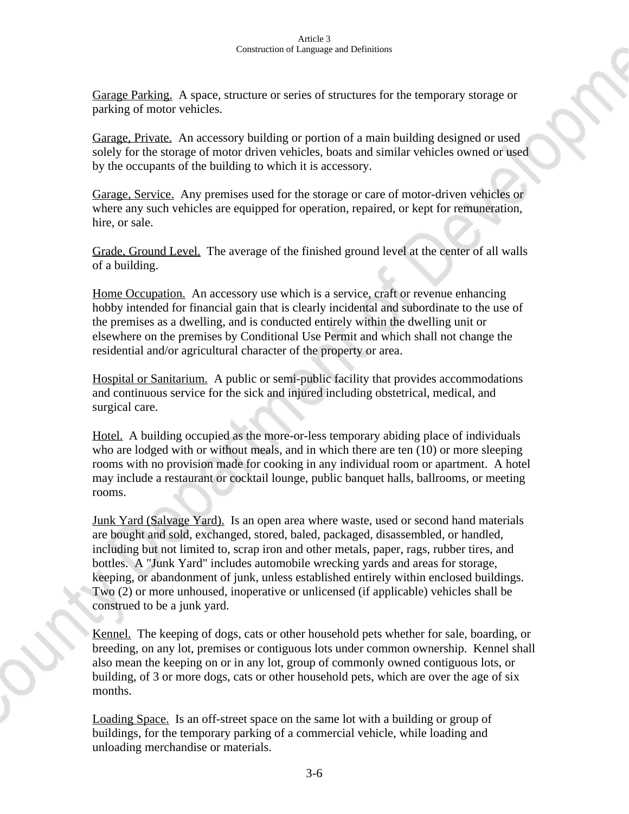Garage Parking. A space, structure or series of structures for the temporary storage or parking of motor vehicles.

Garage, Private. An accessory building or portion of a main building designed or used solely for the storage of motor driven vehicles, boats and similar vehicles owned or used by the occupants of the building to which it is accessory.

Garage, Service. Any premises used for the storage or care of motor-driven vehicles or where any such vehicles are equipped for operation, repaired, or kept for remuneration, hire, or sale.

Grade, Ground Level. The average of the finished ground level at the center of all walls of a building.

Home Occupation. An accessory use which is a service, craft or revenue enhancing hobby intended for financial gain that is clearly incidental and subordinate to the use of the premises as a dwelling, and is conducted entirely within the dwelling unit or elsewhere on the premises by Conditional Use Permit and which shall not change the residential and/or agricultural character of the property or area.

Hospital or Sanitarium. A public or semi-public facility that provides accommodations and continuous service for the sick and injured including obstetrical, medical, and surgical care.

Hotel. A building occupied as the more-or-less temporary abiding place of individuals who are lodged with or without meals, and in which there are ten (10) or more sleeping rooms with no provision made for cooking in any individual room or apartment. A hotel may include a restaurant or cocktail lounge, public banquet halls, ballrooms, or meeting rooms.

Junk Yard (Salvage Yard). Is an open area where waste, used or second hand materials are bought and sold, exchanged, stored, baled, packaged, disassembled, or handled, including but not limited to, scrap iron and other metals, paper, rags, rubber tires, and bottles. A "Junk Yard" includes automobile wrecking yards and areas for storage, keeping, or abandonment of junk, unless established entirely within enclosed buildings. Two (2) or more unhoused, inoperative or unlicensed (if applicable) vehicles shall be construed to be a junk yard.

Kennel. The keeping of dogs, cats or other household pets whether for sale, boarding, or breeding, on any lot, premises or contiguous lots under common ownership. Kennel shall also mean the keeping on or in any lot, group of commonly owned contiguous lots, or building, of 3 or more dogs, cats or other household pets, which are over the age of six months.

Loading Space. Is an off-street space on the same lot with a building or group of buildings, for the temporary parking of a commercial vehicle, while loading and unloading merchandise or materials.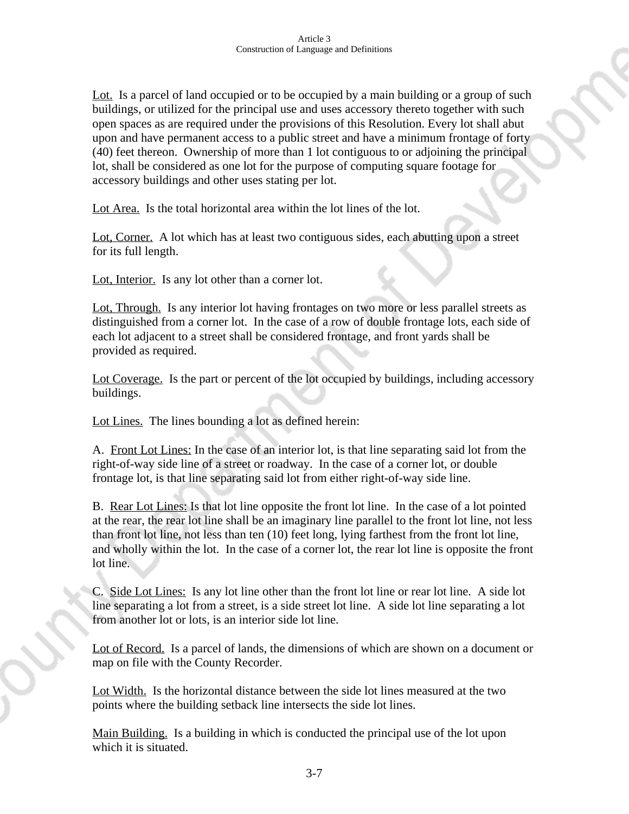Lot. Is a parcel of land occupied or to be occupied by a main building or a group of such buildings, or utilized for the principal use and uses accessory thereto together with such open spaces as are required under the provisions of this Resolution. Every lot shall abut upon and have permanent access to a public street and have a minimum frontage of forty (40) feet thereon. Ownership of more than 1 lot contiguous to or adjoining the principal lot, shall be considered as one lot for the purpose of computing square footage for accessory buildings and other uses stating per lot.

Lot Area. Is the total horizontal area within the lot lines of the lot.

Lot, Corner. A lot which has at least two contiguous sides, each abutting upon a street for its full length.

Lot, Interior. Is any lot other than a corner lot.

Lot, Through. Is any interior lot having frontages on two more or less parallel streets as distinguished from a corner lot. In the case of a row of double frontage lots, each side of each lot adjacent to a street shall be considered frontage, and front yards shall be provided as required.

Lot Coverage. Is the part or percent of the lot occupied by buildings, including accessory buildings.

Lot Lines. The lines bounding a lot as defined herein:

A. Front Lot Lines: In the case of an interior lot, is that line separating said lot from the right-of-way side line of a street or roadway. In the case of a corner lot, or double frontage lot, is that line separating said lot from either right-of-way side line.

B. Rear Lot Lines: Is that lot line opposite the front lot line. In the case of a lot pointed at the rear, the rear lot line shall be an imaginary line parallel to the front lot line, not less than front lot line, not less than ten (10) feet long, lying farthest from the front lot line, and wholly within the lot. In the case of a corner lot, the rear lot line is opposite the front lot line.

C. Side Lot Lines: Is any lot line other than the front lot line or rear lot line. A side lot line separating a lot from a street, is a side street lot line. A side lot line separating a lot from another lot or lots, is an interior side lot line.

Lot of Record. Is a parcel of lands, the dimensions of which are shown on a document or map on file with the County Recorder.

Lot Width. Is the horizontal distance between the side lot lines measured at the two points where the building setback line intersects the side lot lines.

Main Building. Is a building in which is conducted the principal use of the lot upon which it is situated.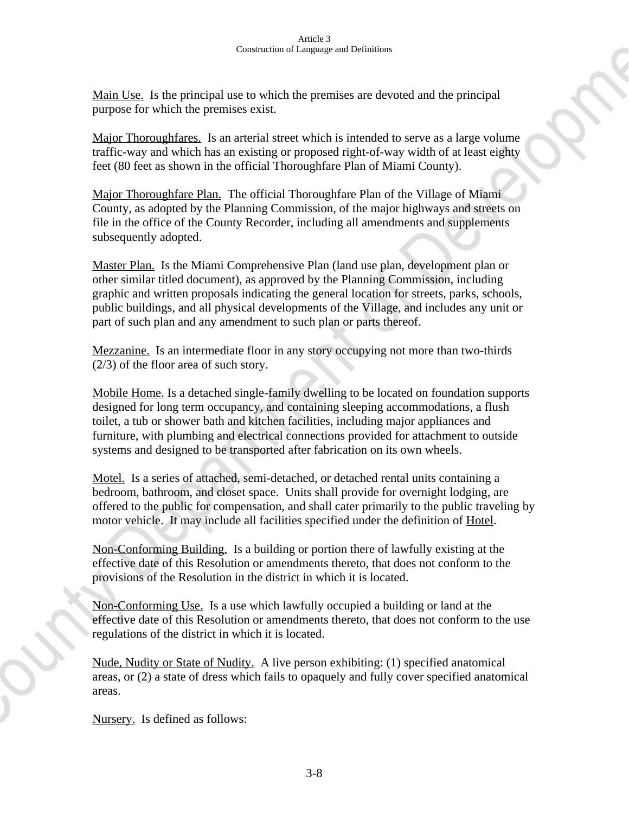Main Use. Is the principal use to which the premises are devoted and the principal purpose for which the premises exist.

Major Thoroughfares. Is an arterial street which is intended to serve as a large volume traffic-way and which has an existing or proposed right-of-way width of at least eighty feet (80 feet as shown in the official Thoroughfare Plan of Miami County).

Major Thoroughfare Plan. The official Thoroughfare Plan of the Village of Miami County, as adopted by the Planning Commission, of the major highways and streets on file in the office of the County Recorder, including all amendments and supplements subsequently adopted.

Master Plan. Is the Miami Comprehensive Plan (land use plan, development plan or other similar titled document), as approved by the Planning Commission, including graphic and written proposals indicating the general location for streets, parks, schools, public buildings, and all physical developments of the Village, and includes any unit or part of such plan and any amendment to such plan or parts thereof.

Mezzanine. Is an intermediate floor in any story occupying not more than two-thirds (2/3) of the floor area of such story.

Mobile Home. Is a detached single-family dwelling to be located on foundation supports designed for long term occupancy, and containing sleeping accommodations, a flush toilet, a tub or shower bath and kitchen facilities, including major appliances and furniture, with plumbing and electrical connections provided for attachment to outside systems and designed to be transported after fabrication on its own wheels.

Motel. Is a series of attached, semi-detached, or detached rental units containing a bedroom, bathroom, and closet space. Units shall provide for overnight lodging, are offered to the public for compensation, and shall cater primarily to the public traveling by motor vehicle. It may include all facilities specified under the definition of Hotel.

Non-Conforming Building. Is a building or portion there of lawfully existing at the effective date of this Resolution or amendments thereto, that does not conform to the provisions of the Resolution in the district in which it is located.

Non-Conforming Use. Is a use which lawfully occupied a building or land at the effective date of this Resolution or amendments thereto, that does not conform to the use regulations of the district in which it is located.

Nude, Nudity or State of Nudity. A live person exhibiting: (1) specified anatomical areas, or (2) a state of dress which fails to opaquely and fully cover specified anatomical areas.

Nursery. Is defined as follows: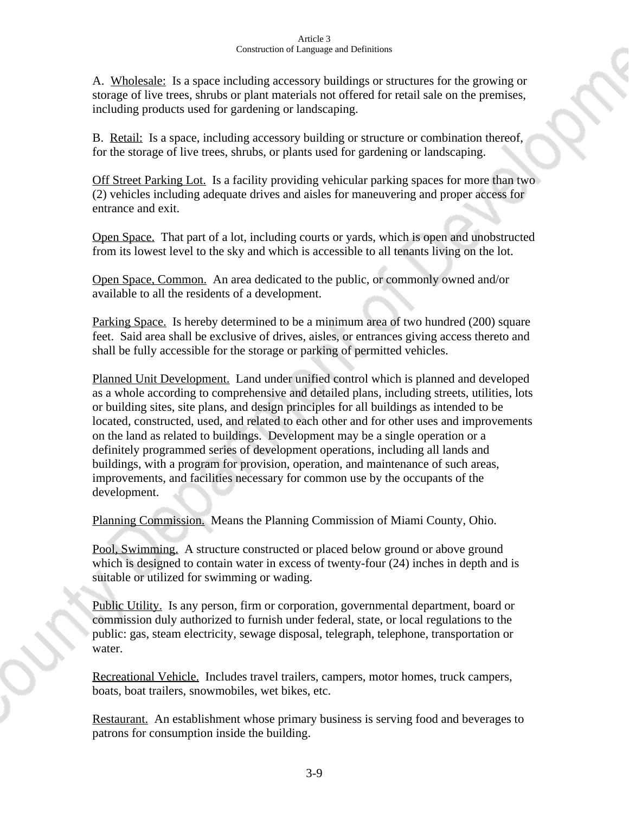A. Wholesale: Is a space including accessory buildings or structures for the growing or storage of live trees, shrubs or plant materials not offered for retail sale on the premises, including products used for gardening or landscaping.

B. Retail: Is a space, including accessory building or structure or combination thereof, for the storage of live trees, shrubs, or plants used for gardening or landscaping.

Off Street Parking Lot. Is a facility providing vehicular parking spaces for more than two (2) vehicles including adequate drives and aisles for maneuvering and proper access for entrance and exit.

Open Space. That part of a lot, including courts or yards, which is open and unobstructed from its lowest level to the sky and which is accessible to all tenants living on the lot.

Open Space, Common. An area dedicated to the public, or commonly owned and/or available to all the residents of a development.

Parking Space. Is hereby determined to be a minimum area of two hundred (200) square feet. Said area shall be exclusive of drives, aisles, or entrances giving access thereto and shall be fully accessible for the storage or parking of permitted vehicles.

Planned Unit Development. Land under unified control which is planned and developed as a whole according to comprehensive and detailed plans, including streets, utilities, lots or building sites, site plans, and design principles for all buildings as intended to be located, constructed, used, and related to each other and for other uses and improvements on the land as related to buildings. Development may be a single operation or a definitely programmed series of development operations, including all lands and buildings, with a program for provision, operation, and maintenance of such areas, improvements, and facilities necessary for common use by the occupants of the development.

Planning Commission. Means the Planning Commission of Miami County, Ohio.

Pool, Swimming. A structure constructed or placed below ground or above ground which is designed to contain water in excess of twenty-four  $(24)$  inches in depth and is suitable or utilized for swimming or wading.

Public Utility. Is any person, firm or corporation, governmental department, board or commission duly authorized to furnish under federal, state, or local regulations to the public: gas, steam electricity, sewage disposal, telegraph, telephone, transportation or water.

Recreational Vehicle. Includes travel trailers, campers, motor homes, truck campers, boats, boat trailers, snowmobiles, wet bikes, etc.

Restaurant. An establishment whose primary business is serving food and beverages to patrons for consumption inside the building.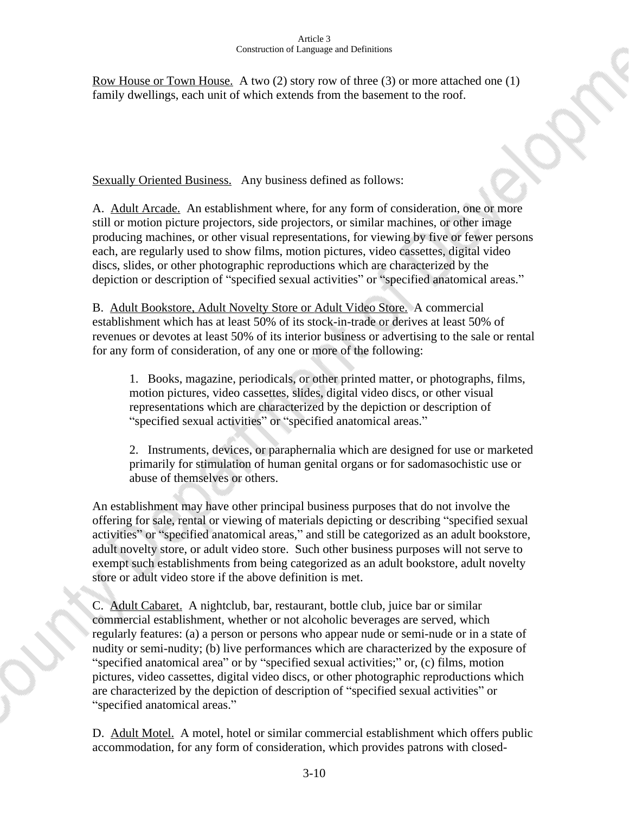Row House or Town House. A two (2) story row of three (3) or more attached one (1) family dwellings, each unit of which extends from the basement to the roof.

Sexually Oriented Business. Any business defined as follows:

A. Adult Arcade. An establishment where, for any form of consideration, one or more still or motion picture projectors, side projectors, or similar machines, or other image producing machines, or other visual representations, for viewing by five or fewer persons each, are regularly used to show films, motion pictures, video cassettes, digital video discs, slides, or other photographic reproductions which are characterized by the depiction or description of "specified sexual activities" or "specified anatomical areas."

B. Adult Bookstore, Adult Novelty Store or Adult Video Store. A commercial establishment which has at least 50% of its stock-in-trade or derives at least 50% of revenues or devotes at least 50% of its interior business or advertising to the sale or rental for any form of consideration, of any one or more of the following:

1. Books, magazine, periodicals, or other printed matter, or photographs, films, motion pictures, video cassettes, slides, digital video discs, or other visual representations which are characterized by the depiction or description of "specified sexual activities" or "specified anatomical areas."

2. Instruments, devices, or paraphernalia which are designed for use or marketed primarily for stimulation of human genital organs or for sadomasochistic use or abuse of themselves or others.

An establishment may have other principal business purposes that do not involve the offering for sale, rental or viewing of materials depicting or describing "specified sexual activities" or "specified anatomical areas," and still be categorized as an adult bookstore, adult novelty store, or adult video store. Such other business purposes will not serve to exempt such establishments from being categorized as an adult bookstore, adult novelty store or adult video store if the above definition is met.

C. Adult Cabaret. A nightclub, bar, restaurant, bottle club, juice bar or similar commercial establishment, whether or not alcoholic beverages are served, which regularly features: (a) a person or persons who appear nude or semi-nude or in a state of nudity or semi-nudity; (b) live performances which are characterized by the exposure of "specified anatomical area" or by "specified sexual activities;" or, (c) films, motion pictures, video cassettes, digital video discs, or other photographic reproductions which are characterized by the depiction of description of "specified sexual activities" or "specified anatomical areas."

D. Adult Motel. A motel, hotel or similar commercial establishment which offers public accommodation, for any form of consideration, which provides patrons with closed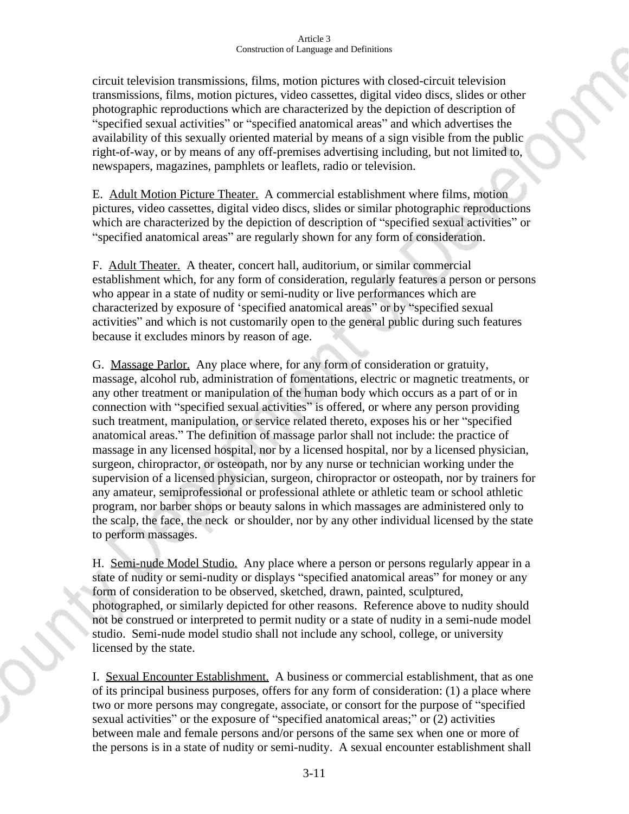circuit television transmissions, films, motion pictures with closed-circuit television transmissions, films, motion pictures, video cassettes, digital video discs, slides or other photographic reproductions which are characterized by the depiction of description of "specified sexual activities" or "specified anatomical areas" and which advertises the availability of this sexually oriented material by means of a sign visible from the public right-of-way, or by means of any off-premises advertising including, but not limited to, newspapers, magazines, pamphlets or leaflets, radio or television.

E. Adult Motion Picture Theater. A commercial establishment where films, motion pictures, video cassettes, digital video discs, slides or similar photographic reproductions which are characterized by the depiction of description of "specified sexual activities" or "specified anatomical areas" are regularly shown for any form of consideration.

F. Adult Theater. A theater, concert hall, auditorium, or similar commercial establishment which, for any form of consideration, regularly features a person or persons who appear in a state of nudity or semi-nudity or live performances which are characterized by exposure of 'specified anatomical areas" or by "specified sexual activities" and which is not customarily open to the general public during such features because it excludes minors by reason of age.

G. Massage Parlor. Any place where, for any form of consideration or gratuity, massage, alcohol rub, administration of fomentations, electric or magnetic treatments, or any other treatment or manipulation of the human body which occurs as a part of or in connection with "specified sexual activities" is offered, or where any person providing such treatment, manipulation, or service related thereto, exposes his or her "specified anatomical areas." The definition of massage parlor shall not include: the practice of massage in any licensed hospital, nor by a licensed hospital, nor by a licensed physician, surgeon, chiropractor, or osteopath, nor by any nurse or technician working under the supervision of a licensed physician, surgeon, chiropractor or osteopath, nor by trainers for any amateur, semiprofessional or professional athlete or athletic team or school athletic program, nor barber shops or beauty salons in which massages are administered only to the scalp, the face, the neck or shoulder, nor by any other individual licensed by the state to perform massages.

H. Semi-nude Model Studio. Any place where a person or persons regularly appear in a state of nudity or semi-nudity or displays "specified anatomical areas" for money or any form of consideration to be observed, sketched, drawn, painted, sculptured, photographed, or similarly depicted for other reasons. Reference above to nudity should not be construed or interpreted to permit nudity or a state of nudity in a semi-nude model studio. Semi-nude model studio shall not include any school, college, or university licensed by the state.

I. Sexual Encounter Establishment. A business or commercial establishment, that as one of its principal business purposes, offers for any form of consideration: (1) a place where two or more persons may congregate, associate, or consort for the purpose of "specified sexual activities" or the exposure of "specified anatomical areas;" or (2) activities between male and female persons and/or persons of the same sex when one or more of the persons is in a state of nudity or semi-nudity. A sexual encounter establishment shall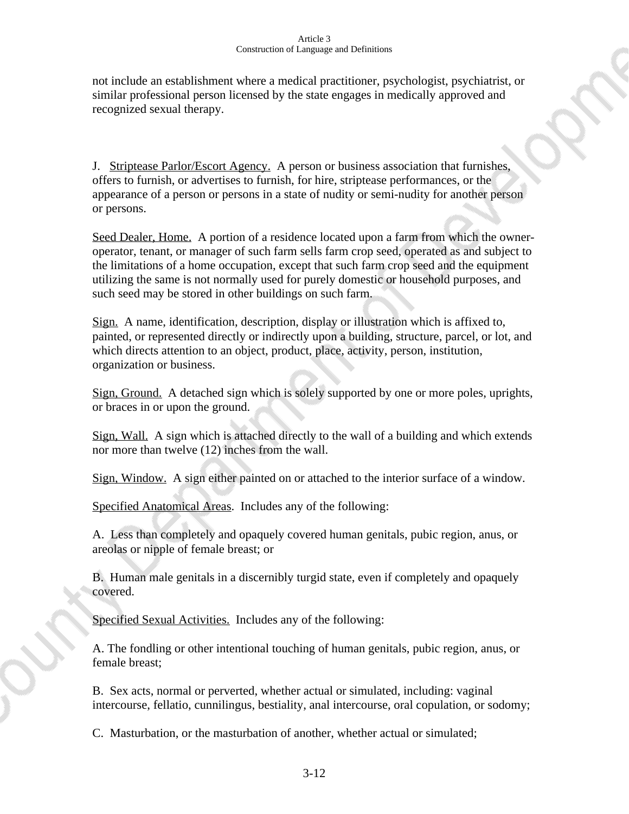not include an establishment where a medical practitioner, psychologist, psychiatrist, or similar professional person licensed by the state engages in medically approved and recognized sexual therapy.

J. Striptease Parlor/Escort Agency. A person or business association that furnishes, offers to furnish, or advertises to furnish, for hire, striptease performances, or the appearance of a person or persons in a state of nudity or semi-nudity for another person or persons.

Seed Dealer, Home. A portion of a residence located upon a farm from which the owneroperator, tenant, or manager of such farm sells farm crop seed, operated as and subject to the limitations of a home occupation, except that such farm crop seed and the equipment utilizing the same is not normally used for purely domestic or household purposes, and such seed may be stored in other buildings on such farm.

Sign. A name, identification, description, display or illustration which is affixed to, painted, or represented directly or indirectly upon a building, structure, parcel, or lot, and which directs attention to an object, product, place, activity, person, institution, organization or business.

Sign, Ground. A detached sign which is solely supported by one or more poles, uprights, or braces in or upon the ground.

Sign, Wall. A sign which is attached directly to the wall of a building and which extends nor more than twelve (12) inches from the wall.

Sign, Window. A sign either painted on or attached to the interior surface of a window.

Specified Anatomical Areas. Includes any of the following:

A. Less than completely and opaquely covered human genitals, pubic region, anus, or areolas or nipple of female breast; or

B. Human male genitals in a discernibly turgid state, even if completely and opaquely covered.

Specified Sexual Activities. Includes any of the following:

A. The fondling or other intentional touching of human genitals, pubic region, anus, or female breast;

B. Sex acts, normal or perverted, whether actual or simulated, including: vaginal intercourse, fellatio, cunnilingus, bestiality, anal intercourse, oral copulation, or sodomy;

C. Masturbation, or the masturbation of another, whether actual or simulated;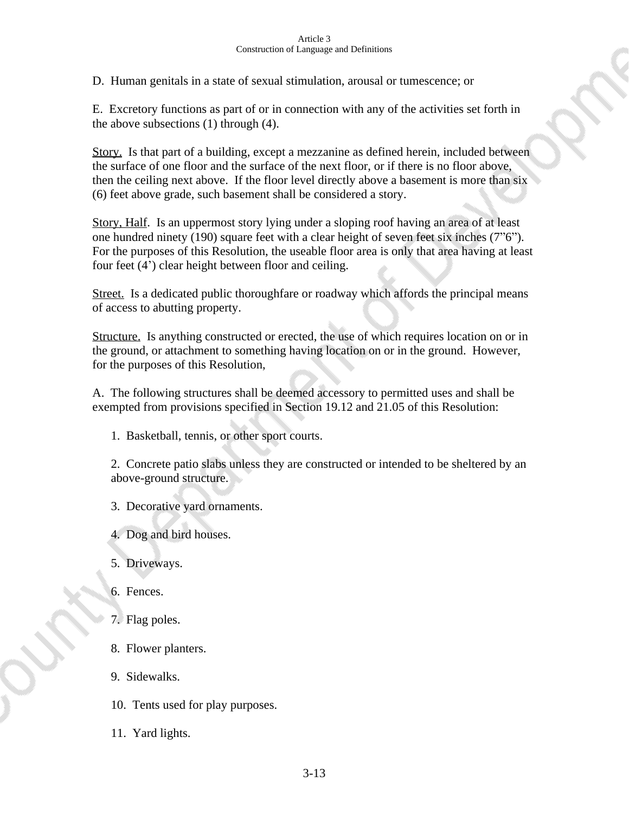D. Human genitals in a state of sexual stimulation, arousal or tumescence; or

E. Excretory functions as part of or in connection with any of the activities set forth in the above subsections  $(1)$  through  $(4)$ .

Story. Is that part of a building, except a mezzanine as defined herein, included between the surface of one floor and the surface of the next floor, or if there is no floor above, then the ceiling next above. If the floor level directly above a basement is more than six (6) feet above grade, such basement shall be considered a story.

Story, Half. Is an uppermost story lying under a sloping roof having an area of at least one hundred ninety (190) square feet with a clear height of seven feet six inches (7"6"). For the purposes of this Resolution, the useable floor area is only that area having at least four feet (4') clear height between floor and ceiling.

Street. Is a dedicated public thoroughfare or roadway which affords the principal means of access to abutting property.

Structure. Is anything constructed or erected, the use of which requires location on or in the ground, or attachment to something having location on or in the ground. However, for the purposes of this Resolution,

A. The following structures shall be deemed accessory to permitted uses and shall be exempted from provisions specified in Section 19.12 and 21.05 of this Resolution:

1. Basketball, tennis, or other sport courts.

2. Concrete patio slabs unless they are constructed or intended to be sheltered by an above-ground structure.

- 3. Decorative yard ornaments.
- 4. Dog and bird houses.
- 5. Driveways.
- 6. Fences.
- 7. Flag poles.
- 8. Flower planters.
- 9.Sidewalks.
- 10. Tents used for play purposes.
- 11. Yard lights.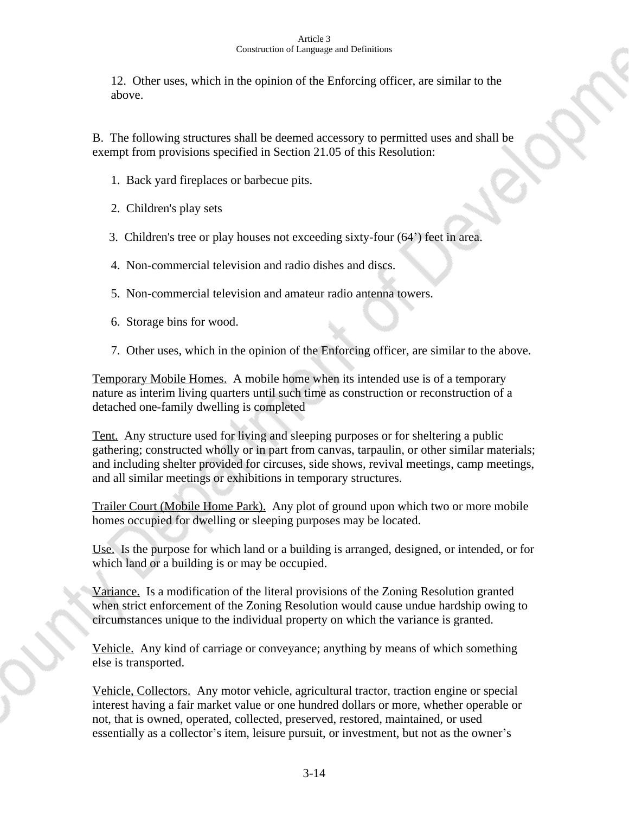12. Other uses, which in the opinion of the Enforcing officer, are similar to the above.

B. The following structures shall be deemed accessory to permitted uses and shall be exempt from provisions specified in Section 21.05 of this Resolution:

- 1. Back yard fireplaces or barbecue pits.
- 2. Children's play sets
- 3. Children's tree or play houses not exceeding sixty-four (64') feet in area.
- 4. Non-commercial television and radio dishes and discs.
- 5. Non-commercial television and amateur radio antenna towers.
- 6. Storage bins for wood.
- 7. Other uses, which in the opinion of the Enforcing officer, are similar to the above.

Temporary Mobile Homes. A mobile home when its intended use is of a temporary nature as interim living quarters until such time as construction or reconstruction of a detached one-family dwelling is completed

Tent. Any structure used for living and sleeping purposes or for sheltering a public gathering; constructed wholly or in part from canvas, tarpaulin, or other similar materials; and including shelter provided for circuses, side shows, revival meetings, camp meetings, and all similar meetings or exhibitions in temporary structures.

Trailer Court (Mobile Home Park). Any plot of ground upon which two or more mobile homes occupied for dwelling or sleeping purposes may be located.

Use. Is the purpose for which land or a building is arranged, designed, or intended, or for which land or a building is or may be occupied.

Variance. Is a modification of the literal provisions of the Zoning Resolution granted when strict enforcement of the Zoning Resolution would cause undue hardship owing to circumstances unique to the individual property on which the variance is granted.

Vehicle. Any kind of carriage or conveyance; anything by means of which something else is transported.

Vehicle, Collectors. Any motor vehicle, agricultural tractor, traction engine or special interest having a fair market value or one hundred dollars or more, whether operable or not, that is owned, operated, collected, preserved, restored, maintained, or used essentially as a collector's item, leisure pursuit, or investment, but not as the owner's